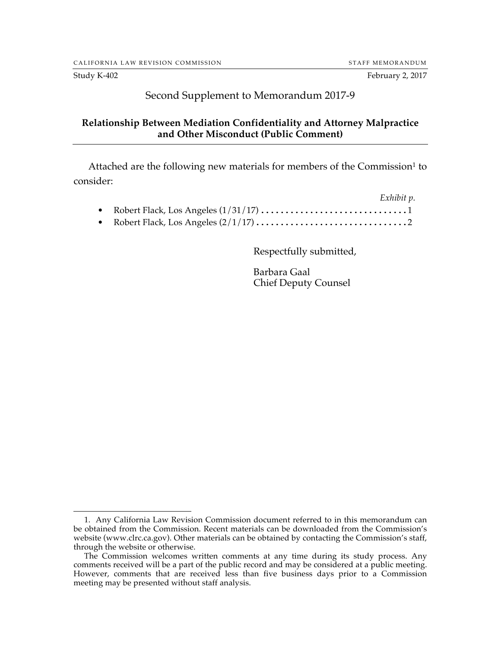#### Second Supplement to Memorandum 2017-9

#### **Relationship Between Mediation Confidentiality and Attorney Malpractice and Other Misconduct (Public Comment)**

Attached are the following new materials for members of the Commission<sup>1</sup> to consider:

|  | Exhibit p. |
|--|------------|
|  |            |
|  |            |

Respectfully submitted,

Barbara Gaal Chief Deputy Counsel

 <sup>1.</sup> Any California Law Revision Commission document referred to in this memorandum can be obtained from the Commission. Recent materials can be downloaded from the Commission's website (www.clrc.ca.gov). Other materials can be obtained by contacting the Commission's staff, through the website or otherwise.

The Commission welcomes written comments at any time during its study process. Any comments received will be a part of the public record and may be considered at a public meeting. However, comments that are received less than five business days prior to a Commission meeting may be presented without staff analysis.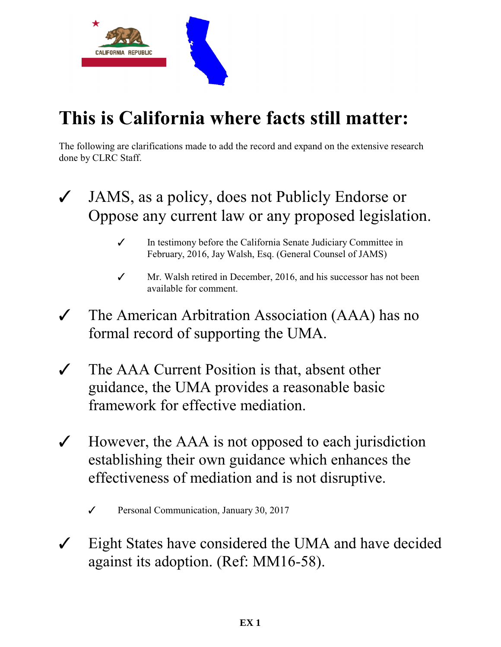

## **This is California where facts still matter:**

The following are clarifications made to add the record and expand on the extensive research done by CLRC Staff.

- $\checkmark$  JAMS, as a policy, does not Publicly Endorse or Oppose any current law or any proposed legislation.
	- $\checkmark$  In testimony before the California Senate Judiciary Committee in February, 2016, Jay Walsh, Esq. (General Counsel of JAMS)
	- $\checkmark$  Mr. Walsh retired in December, 2016, and his successor has not been available for comment.
- $\checkmark$  The American Arbitration Association (AAA) has no formal record of supporting the UMA.
- $\checkmark$  The AAA Current Position is that, absent other guidance, the UMA provides a reasonable basic framework for effective mediation.
- $\checkmark$  However, the AAA is not opposed to each jurisdiction establishing their own guidance which enhances the effectiveness of mediation and is not disruptive.
	- $\checkmark$  Personal Communication, January 30, 2017
- $\checkmark$  Eight States have considered the UMA and have decided against its adoption. (Ref: MM16-58).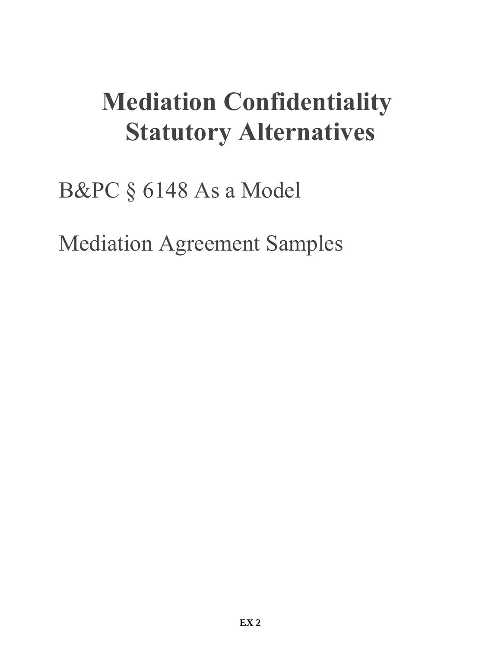# **Mediation Confidentiality Statutory Alternatives**

## B&PC § 6148 As a Model

Mediation Agreement Samples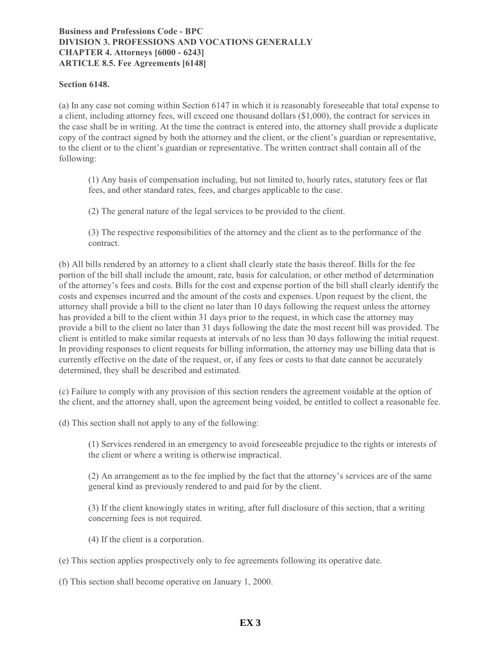#### **Business and Professions Code - BPC DIVISION 3. PROFESSIONS AND VOCATIONS GENERALLY CHAPTER 4. Attorneys [6000 - 6243] ARTICLE 8.5. Fee Agreements [6148]**

#### **Section 6148.**

(a) In any case not coming within Section 6147 in which it is reasonably foreseeable that total expense to a client, including attorney fees, will exceed one thousand dollars (\$1,000), the contract for services in the case shall be in writing. At the time the contract is entered into, the attorney shall provide a duplicate copy of the contract signed by both the attorney and the client, or the client's guardian or representative, to the client or to the client's guardian or representative. The written contract shall contain all of the following:

(1) Any basis of compensation including, but not limited to, hourly rates, statutory fees or flat fees, and other standard rates, fees, and charges applicable to the case.

(2) The general nature of the legal services to be provided to the client.

(3) The respective responsibilities of the attorney and the client as to the performance of the contract.

(b) All bills rendered by an attorney to a client shall clearly state the basis thereof. Bills for the fee portion of the bill shall include the amount, rate, basis for calculation, or other method of determination of the attorney's fees and costs. Bills for the cost and expense portion of the bill shall clearly identify the costs and expenses incurred and the amount of the costs and expenses. Upon request by the client, the attorney shall provide a bill to the client no later than 10 days following the request unless the attorney has provided a bill to the client within 31 days prior to the request, in which case the attorney may provide a bill to the client no later than 31 days following the date the most recent bill was provided. The client is entitled to make similar requests at intervals of no less than 30 days following the initial request. In providing responses to client requests for billing information, the attorney may use billing data that is currently effective on the date of the request, or, if any fees or costs to that date cannot be accurately determined, they shall be described and estimated.

(c) Failure to comply with any provision of this section renders the agreement voidable at the option of the client, and the attorney shall, upon the agreement being voided, be entitled to collect a reasonable fee.

(d) This section shall not apply to any of the following:

(1) Services rendered in an emergency to avoid foreseeable prejudice to the rights or interests of the client or where a writing is otherwise impractical.

(2) An arrangement as to the fee implied by the fact that the attorney's services are of the same general kind as previously rendered to and paid for by the client.

(3) If the client knowingly states in writing, after full disclosure of this section, that a writing concerning fees is not required.

- (4) If the client is a corporation.
- (e) This section applies prospectively only to fee agreements following its operative date.

(f) This section shall become operative on January 1, 2000.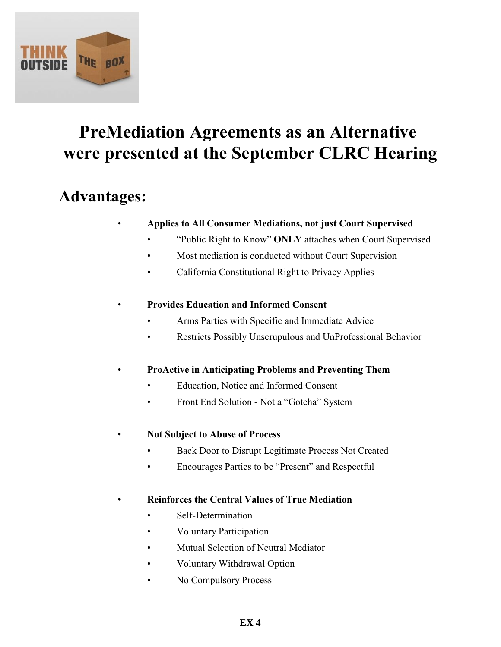

## **PreMediation Agreements as an Alternative were presented at the September CLRC Hearing**

### **Advantages:**

#### • **Applies to All Consumer Mediations, not just Court Supervised**

- "Public Right to Know" **ONLY** attaches when Court Supervised
- Most mediation is conducted without Court Supervision
- California Constitutional Right to Privacy Applies

#### • **Provides Education and Informed Consent**

- Arms Parties with Specific and Immediate Advice
- Restricts Possibly Unscrupulous and UnProfessional Behavior
- **ProActive in Anticipating Problems and Preventing Them**
	- Education, Notice and Informed Consent
	- Front End Solution Not a "Gotcha" System
- **Not Subject to Abuse of Process**
	- Back Door to Disrupt Legitimate Process Not Created
	- Encourages Parties to be "Present" and Respectful

#### **• Reinforces the Central Values of True Mediation**

- Self-Determination
- Voluntary Participation
- Mutual Selection of Neutral Mediator
- Voluntary Withdrawal Option
- No Compulsory Process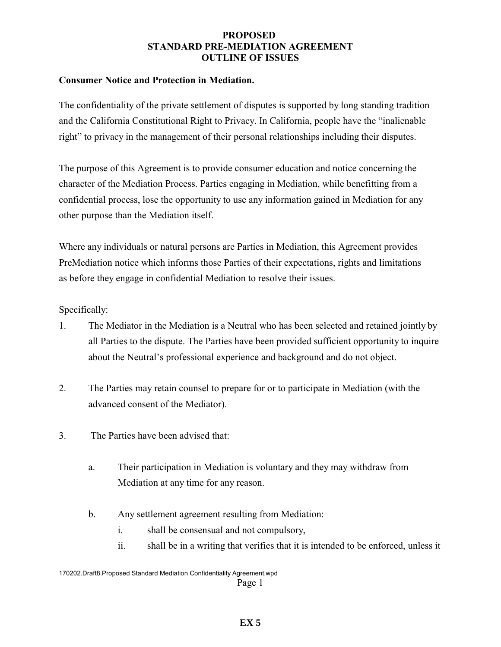#### **PROPOSED STANDARD PRE-MEDIATION AGREEMENT OUTLINE OF ISSUES**

#### **Consumer Notice and Protection in Mediation.**

The confidentiality of the private settlement of disputes is supported by long standing tradition and the California Constitutional Right to Privacy. In California, people have the "inalienable right" to privacy in the management of their personal relationships including their disputes.

The purpose of this Agreement is to provide consumer education and notice concerning the character of the Mediation Process. Parties engaging in Mediation, while benefitting from a confidential process, lose the opportunity to use any information gained in Mediation for any other purpose than the Mediation itself.

Where any individuals or natural persons are Parties in Mediation, this Agreement provides PreMediation notice which informs those Parties of their expectations, rights and limitations as before they engage in confidential Mediation to resolve their issues.

Specifically:

- 1. The Mediator in the Mediation is a Neutral who has been selected and retained jointly by all Parties to the dispute. The Parties have been provided sufficient opportunity to inquire about the Neutral's professional experience and background and do not object.
- 2. The Parties may retain counsel to prepare for or to participate in Mediation (with the advanced consent of the Mediator).
- 3. The Parties have been advised that:
	- a. Their participation in Mediation is voluntary and they may withdraw from Mediation at any time for any reason.
	- b. Any settlement agreement resulting from Mediation:
		- i. shall be consensual and not compulsory,
		- ii. shall be in a writing that verifies that it is intended to be enforced, unless it

<sup>170202.</sup>Draft8.Proposed Standard Mediation Confidentiality Agreement.wpd Page 1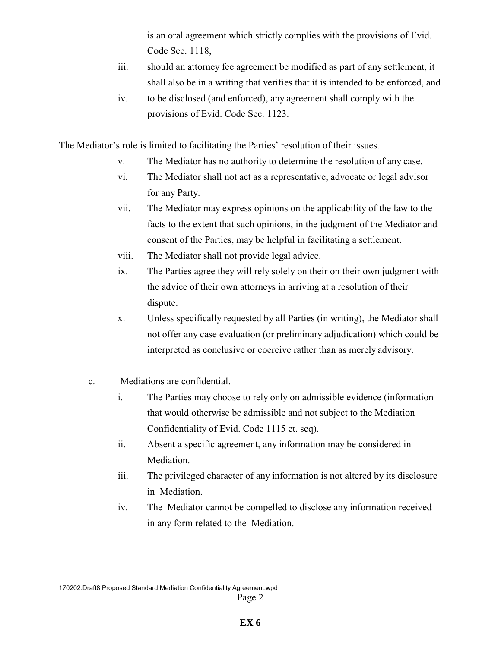is an oral agreement which strictly complies with the provisions of Evid. Code Sec. 1118,

- iii. should an attorney fee agreement be modified as part of any settlement, it shall also be in a writing that verifies that it is intended to be enforced, and
- iv. to be disclosed (and enforced), any agreement shall comply with the provisions of Evid. Code Sec. 1123.

The Mediator's role is limited to facilitating the Parties' resolution of their issues.

- v. The Mediator has no authority to determine the resolution of any case.
- vi. The Mediator shall not act as a representative, advocate or legal advisor for any Party.
- vii. The Mediator may express opinions on the applicability of the law to the facts to the extent that such opinions, in the judgment of the Mediator and consent of the Parties, may be helpful in facilitating a settlement.
- viii. The Mediator shall not provide legal advice.
- ix. The Parties agree they will rely solely on their on their own judgment with the advice of their own attorneys in arriving at a resolution of their dispute.
- x. Unless specifically requested by all Parties (in writing), the Mediator shall not offer any case evaluation (or preliminary adjudication) which could be interpreted as conclusive or coercive rather than as merely advisory.
- c. Mediations are confidential.
	- i. The Parties may choose to rely only on admissible evidence (information that would otherwise be admissible and not subject to the Mediation Confidentiality of Evid. Code 1115 et. seq).
	- ii. Absent a specific agreement, any information may be considered in Mediation.
	- iii. The privileged character of any information is not altered by its disclosure in Mediation.
	- iv. The Mediator cannot be compelled to disclose any information received in any form related to the Mediation.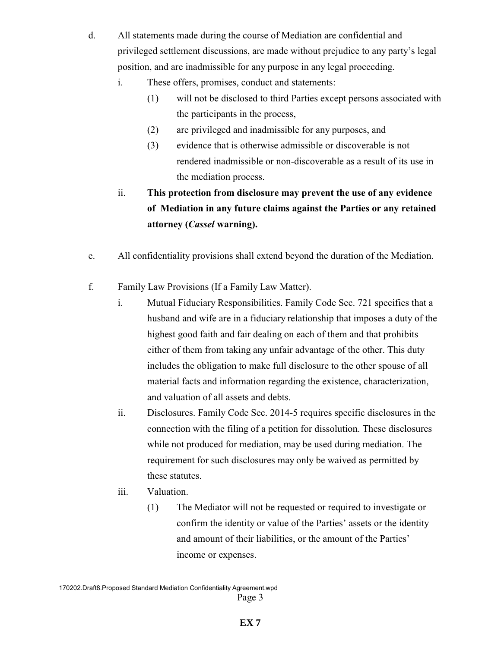- d. All statements made during the course of Mediation are confidential and privileged settlement discussions, are made without prejudice to any party's legal position, and are inadmissible for any purpose in any legal proceeding.
	- i. These offers, promises, conduct and statements:
		- (1) will not be disclosed to third Parties except persons associated with the participants in the process,
		- (2) are privileged and inadmissible for any purposes, and
		- (3) evidence that is otherwise admissible or discoverable is not rendered inadmissible or non-discoverable as a result of its use in the mediation process.
	- ii. **This protection from disclosure may prevent the use of any evidence of Mediation in any future claims against the Parties or any retained attorney (***Cassel* **warning).**
- e. All confidentiality provisions shall extend beyond the duration of the Mediation.
- f. Family Law Provisions (If a Family Law Matter).
	- i. Mutual Fiduciary Responsibilities. Family Code Sec. 721 specifies that a husband and wife are in a fiduciary relationship that imposes a duty of the highest good faith and fair dealing on each of them and that prohibits either of them from taking any unfair advantage of the other. This duty includes the obligation to make full disclosure to the other spouse of all material facts and information regarding the existence, characterization, and valuation of all assets and debts.
	- ii. Disclosures. Family Code Sec. 2014-5 requires specific disclosures in the connection with the filing of a petition for dissolution. These disclosures while not produced for mediation, may be used during mediation. The requirement for such disclosures may only be waived as permitted by these statutes.
	- iii. Valuation.
		- (1) The Mediator will not be requested or required to investigate or confirm the identity or value of the Parties' assets or the identity and amount of their liabilities, or the amount of the Parties' income or expenses.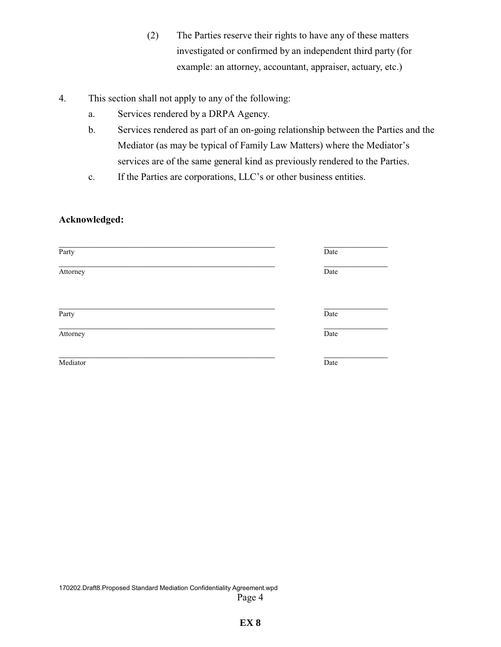- (2) The Parties reserve their rights to have any of these matters investigated or confirmed by an independent third party (for example: an attorney, accountant, appraiser, actuary, etc.)
- 4. This section shall not apply to any of the following:
	- a. Services rendered by a DRPA Agency.
	- b. Services rendered as part of an on-going relationship between the Parties and the Mediator (as may be typical of Family Law Matters) where the Mediator's services are of the same general kind as previously rendered to the Parties.
	- c. If the Parties are corporations, LLC's or other business entities.

#### **Acknowledged:**

| Party    | Date |
|----------|------|
| Attorney | Date |
| Party    | Date |
| Attorney | Date |
| Mediator | Date |

170202.Draft8.Proposed Standard Mediation Confidentiality Agreement.wpd Page 4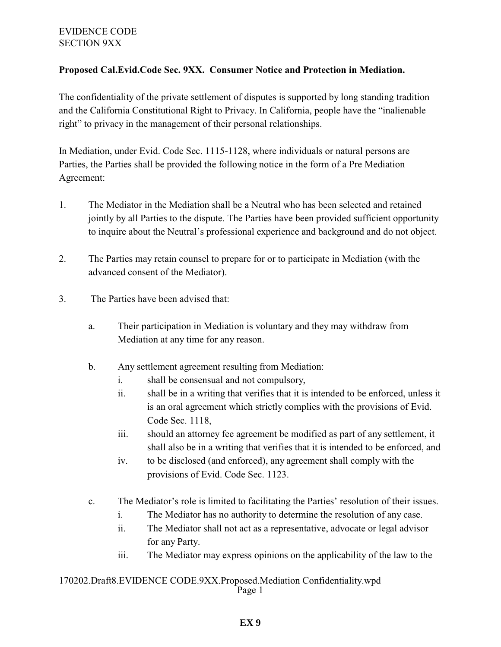#### EVIDENCE CODE SECTION 9XX

#### **Proposed Cal.Evid.Code Sec. 9XX. Consumer Notice and Protection in Mediation.**

The confidentiality of the private settlement of disputes is supported by long standing tradition and the California Constitutional Right to Privacy. In California, people have the "inalienable right" to privacy in the management of their personal relationships.

In Mediation, under Evid. Code Sec. 1115-1128, where individuals or natural persons are Parties, the Parties shall be provided the following notice in the form of a Pre Mediation Agreement:

- 1. The Mediator in the Mediation shall be a Neutral who has been selected and retained jointly by all Parties to the dispute. The Parties have been provided sufficient opportunity to inquire about the Neutral's professional experience and background and do not object.
- 2. The Parties may retain counsel to prepare for or to participate in Mediation (with the advanced consent of the Mediator).
- 3. The Parties have been advised that:
	- a. Their participation in Mediation is voluntary and they may withdraw from Mediation at any time for any reason.
	- b. Any settlement agreement resulting from Mediation:
		- i. shall be consensual and not compulsory,
		- ii. shall be in a writing that verifies that it is intended to be enforced, unless it is an oral agreement which strictly complies with the provisions of Evid. Code Sec. 1118,
		- iii. should an attorney fee agreement be modified as part of any settlement, it shall also be in a writing that verifies that it is intended to be enforced, and
		- iv. to be disclosed (and enforced), any agreement shall comply with the provisions of Evid. Code Sec. 1123.
	- c. The Mediator's role is limited to facilitating the Parties' resolution of their issues.
		- i. The Mediator has no authority to determine the resolution of any case.
		- ii. The Mediator shall not act as a representative, advocate or legal advisor for any Party.
		- iii. The Mediator may express opinions on the applicability of the law to the

#### 170202.Draft8.EVIDENCE CODE.9XX.Proposed.Mediation Confidentiality.wpd Page 1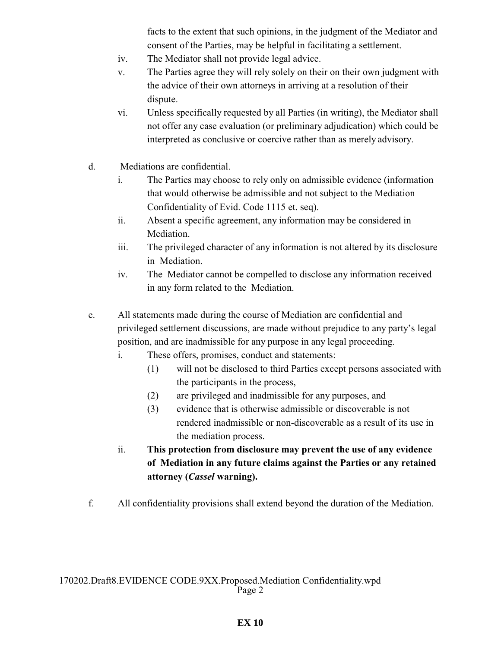facts to the extent that such opinions, in the judgment of the Mediator and consent of the Parties, may be helpful in facilitating a settlement.

- iv. The Mediator shall not provide legal advice.
- v. The Parties agree they will rely solely on their on their own judgment with the advice of their own attorneys in arriving at a resolution of their dispute.
- vi. Unless specifically requested by all Parties (in writing), the Mediator shall not offer any case evaluation (or preliminary adjudication) which could be interpreted as conclusive or coercive rather than as merely advisory.
- d. Mediations are confidential.
	- i. The Parties may choose to rely only on admissible evidence (information that would otherwise be admissible and not subject to the Mediation Confidentiality of Evid. Code 1115 et. seq).
	- ii. Absent a specific agreement, any information may be considered in Mediation.
	- iii. The privileged character of any information is not altered by its disclosure in Mediation.
	- iv. The Mediator cannot be compelled to disclose any information received in any form related to the Mediation.
- e. All statements made during the course of Mediation are confidential and privileged settlement discussions, are made without prejudice to any party's legal position, and are inadmissible for any purpose in any legal proceeding.
	- i. These offers, promises, conduct and statements:
		- (1) will not be disclosed to third Parties except persons associated with the participants in the process,
		- (2) are privileged and inadmissible for any purposes, and
		- (3) evidence that is otherwise admissible or discoverable is not rendered inadmissible or non-discoverable as a result of its use in the mediation process.
	- ii. **This protection from disclosure may prevent the use of any evidence of Mediation in any future claims against the Parties or any retained attorney (***Cassel* **warning).**
- f. All confidentiality provisions shall extend beyond the duration of the Mediation.